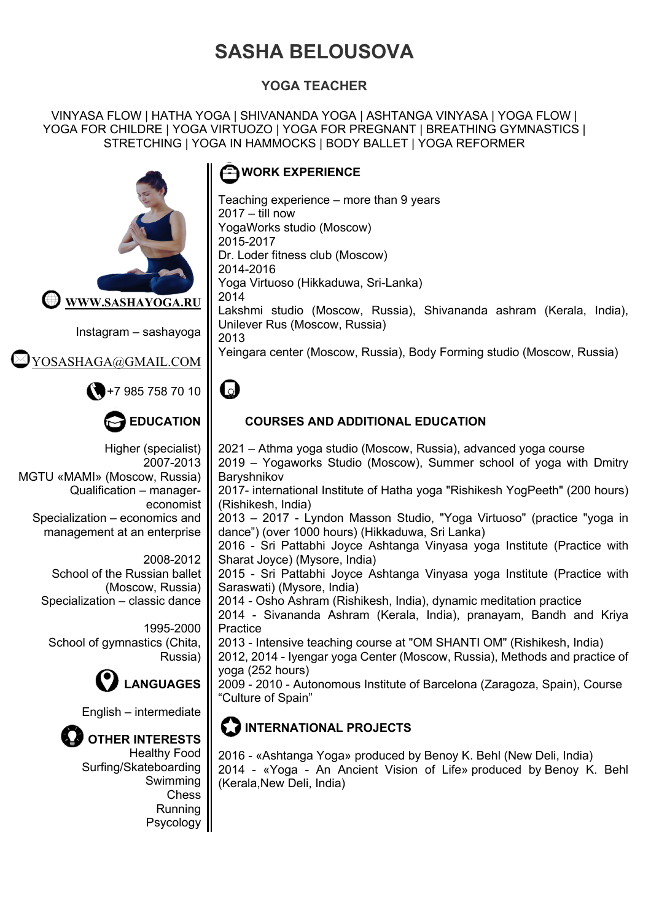# **SASHA BELOUSOVA**

#### **YOGA TEACHER**

VINYASA FLOW | HATHA YOGA | SHIVANANDA YOGA | ASHTANGA VINYASA | YOGA FLOW | YOGA FOR CHILDRE | YOGA VIRTUOZO | YOGA FOR PREGNANT | BREATHING GYMNASTICS | STRETCHING | YOGA IN HAMMOCKS | BODY BALLET | YOGA REFORMER



Instagram – sashayoga

VOSASH<u>AGA@GMAIL.COM</u>



## **EDUCATION**

Higher (specialist) 2007-2013 MGTU «MAMI» (Moscow, Russia) Qualification – managereconomist Specialization – economics and management at an enterprise

> 2008-2012 School of the Russian ballet (Moscow, Russia) Specialization – classic dance

1995-2000 School of gymnastics (Chita, Russia)



English – intermediate

# **OTHER INTERESTS**

Healthy Food Surfing/Skateboarding Swimming **Chess** Running Psycology

### **TH** WORK EXPERIENCE

Teaching experience – more than 9 years 2017 – till now YogaWorks studio (Moscow) 2015-2017 Dr. Loder fitness club (Moscow) 2014-2016 Yoga Virtuoso (Hikkaduwa, Sri-Lanka) 2014 Lakshmi studio (Moscow, Russia), Shivananda ashram (Kerala, India), Unilever Rus (Moscow, Russia) 2013 Yeingara center (Moscow, Russia), Body Forming studio (Moscow, Russia)

# $\bullet$

#### **COURSES AND ADDITIONAL EDUCATION**

2021 – Athma yoga studio (Moscow, Russia), advanced yoga course 2019 – Yogaworks Studio (Moscow), Summer school of yoga with Dmitry **Baryshnikov** 

2017- international Institute of Hatha yoga "Rishikesh YogPeeth" (200 hours) (Rishikesh, India)

2013 – 2017 - Lyndon Masson Studio, "Yoga Virtuoso" (practice "yoga in dance") (over 1000 hours) (Hikkaduwa, Sri Lanka)

2016 - Sri Pattabhi Joyce Ashtanga Vinyasa yoga Institute (Practice with Sharat Joyce) (Mysore, India)

2015 - Sri Pattabhi Joyce Ashtanga Vinyasa yoga Institute (Practice with Saraswati) (Mysore, India)

2014 - Osho Ashram (Rishikesh, India), dynamic meditation practice

2014 - Sivananda Ashram (Kerala, India), pranayam, Bandh and Kriya **Practice** 

2013 - Intensive teaching course at "OM SHANTI OM" (Rishikesh, India)

2012, 2014 - Iyengar yoga Center (Moscow, Russia), Methods and practice of yoga (252 hours)

2009 - 2010 - Autonomous Institute of Barcelona (Zaragoza, Spain), Course "Culture of Spain"

## **12 INTERNATIONAL PROJECTS**

2016 - «Ashtanga Yoga» produced by Benoy K. Behl (New Deli, India) 2014 - «Yoga - An Ancient Vision of Life» produced by Benoy K. Behl (Kerala,New Deli, India)